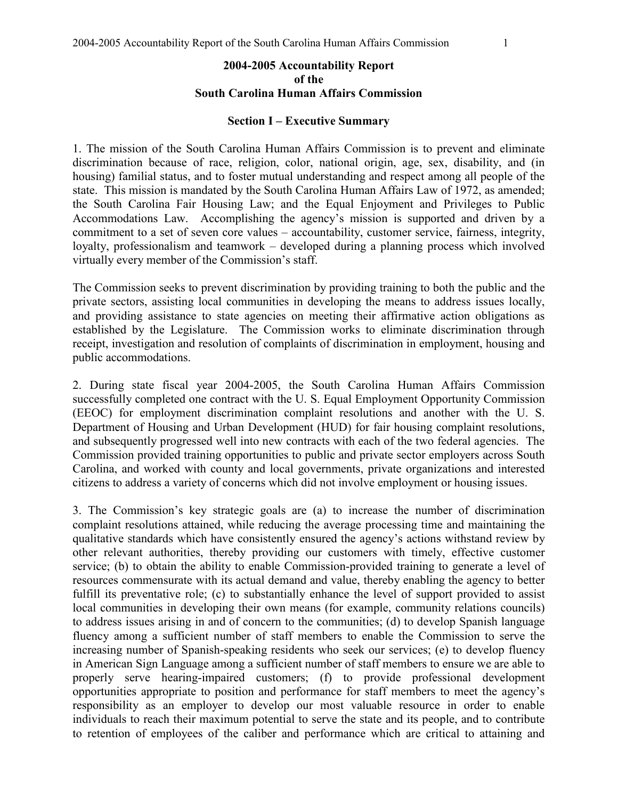### **2004-2005 Accountability Report of the South Carolina Human Affairs Commission**

#### **Section I – Executive Summary**

1. The mission of the South Carolina Human Affairs Commission is to prevent and eliminate discrimination because of race, religion, color, national origin, age, sex, disability, and (in housing) familial status, and to foster mutual understanding and respect among all people of the state. This mission is mandated by the South Carolina Human Affairs Law of 1972, as amended; the South Carolina Fair Housing Law; and the Equal Enjoyment and Privileges to Public Accommodations Law. Accomplishing the agency's mission is supported and driven by a commitment to a set of seven core values – accountability, customer service, fairness, integrity, loyalty, professionalism and teamwork – developed during a planning process which involved virtually every member of the Commission's staff.

The Commission seeks to prevent discrimination by providing training to both the public and the private sectors, assisting local communities in developing the means to address issues locally, and providing assistance to state agencies on meeting their affirmative action obligations as established by the Legislature. The Commission works to eliminate discrimination through receipt, investigation and resolution of complaints of discrimination in employment, housing and public accommodations.

2. During state fiscal year 2004-2005, the South Carolina Human Affairs Commission successfully completed one contract with the U. S. Equal Employment Opportunity Commission (EEOC) for employment discrimination complaint resolutions and another with the U. S. Department of Housing and Urban Development (HUD) for fair housing complaint resolutions, and subsequently progressed well into new contracts with each of the two federal agencies. The Commission provided training opportunities to public and private sector employers across South Carolina, and worked with county and local governments, private organizations and interested citizens to address a variety of concerns which did not involve employment or housing issues.

3. The Commission's key strategic goals are (a) to increase the number of discrimination complaint resolutions attained, while reducing the average processing time and maintaining the qualitative standards which have consistently ensured the agency's actions withstand review by other relevant authorities, thereby providing our customers with timely, effective customer service; (b) to obtain the ability to enable Commission-provided training to generate a level of resources commensurate with its actual demand and value, thereby enabling the agency to better fulfill its preventative role; (c) to substantially enhance the level of support provided to assist local communities in developing their own means (for example, community relations councils) to address issues arising in and of concern to the communities; (d) to develop Spanish language fluency among a sufficient number of staff members to enable the Commission to serve the increasing number of Spanish-speaking residents who seek our services; (e) to develop fluency in American Sign Language among a sufficient number of staff members to ensure we are able to properly serve hearing-impaired customers; (f) to provide professional development opportunities appropriate to position and performance for staff members to meet the agency's responsibility as an employer to develop our most valuable resource in order to enable individuals to reach their maximum potential to serve the state and its people, and to contribute to retention of employees of the caliber and performance which are critical to attaining and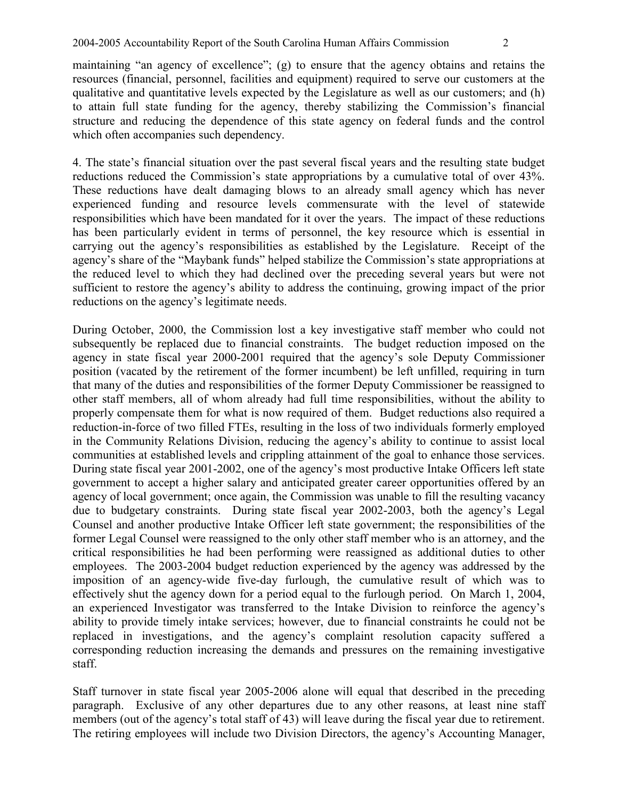maintaining "an agency of excellence"; (g) to ensure that the agency obtains and retains the resources (financial, personnel, facilities and equipment) required to serve our customers at the qualitative and quantitative levels expected by the Legislature as well as our customers; and (h) to attain full state funding for the agency, thereby stabilizing the Commission's financial structure and reducing the dependence of this state agency on federal funds and the control which often accompanies such dependency.

4. The state's financial situation over the past several fiscal years and the resulting state budget reductions reduced the Commission's state appropriations by a cumulative total of over 43%. These reductions have dealt damaging blows to an already small agency which has never experienced funding and resource levels commensurate with the level of statewide responsibilities which have been mandated for it over the years. The impact of these reductions has been particularly evident in terms of personnel, the key resource which is essential in carrying out the agency's responsibilities as established by the Legislature. Receipt of the agency's share of the "Maybank funds" helped stabilize the Commission's state appropriations at the reduced level to which they had declined over the preceding several years but were not sufficient to restore the agency's ability to address the continuing, growing impact of the prior reductions on the agency's legitimate needs.

During October, 2000, the Commission lost a key investigative staff member who could not subsequently be replaced due to financial constraints. The budget reduction imposed on the agency in state fiscal year 2000-2001 required that the agency's sole Deputy Commissioner position (vacated by the retirement of the former incumbent) be left unfilled, requiring in turn that many of the duties and responsibilities of the former Deputy Commissioner be reassigned to other staff members, all of whom already had full time responsibilities, without the ability to properly compensate them for what is now required of them. Budget reductions also required a reduction-in-force of two filled FTEs, resulting in the loss of two individuals formerly employed in the Community Relations Division, reducing the agency's ability to continue to assist local communities at established levels and crippling attainment of the goal to enhance those services. During state fiscal year 2001-2002, one of the agency's most productive Intake Officers left state government to accept a higher salary and anticipated greater career opportunities offered by an agency of local government; once again, the Commission was unable to fill the resulting vacancy due to budgetary constraints. During state fiscal year 2002-2003, both the agency's Legal Counsel and another productive Intake Officer left state government; the responsibilities of the former Legal Counsel were reassigned to the only other staff member who is an attorney, and the critical responsibilities he had been performing were reassigned as additional duties to other employees. The 2003-2004 budget reduction experienced by the agency was addressed by the imposition of an agency-wide five-day furlough, the cumulative result of which was to effectively shut the agency down for a period equal to the furlough period. On March 1, 2004, an experienced Investigator was transferred to the Intake Division to reinforce the agency's ability to provide timely intake services; however, due to financial constraints he could not be replaced in investigations, and the agency's complaint resolution capacity suffered a corresponding reduction increasing the demands and pressures on the remaining investigative staff.

Staff turnover in state fiscal year 2005-2006 alone will equal that described in the preceding paragraph. Exclusive of any other departures due to any other reasons, at least nine staff members (out of the agency's total staff of 43) will leave during the fiscal year due to retirement. The retiring employees will include two Division Directors, the agency's Accounting Manager,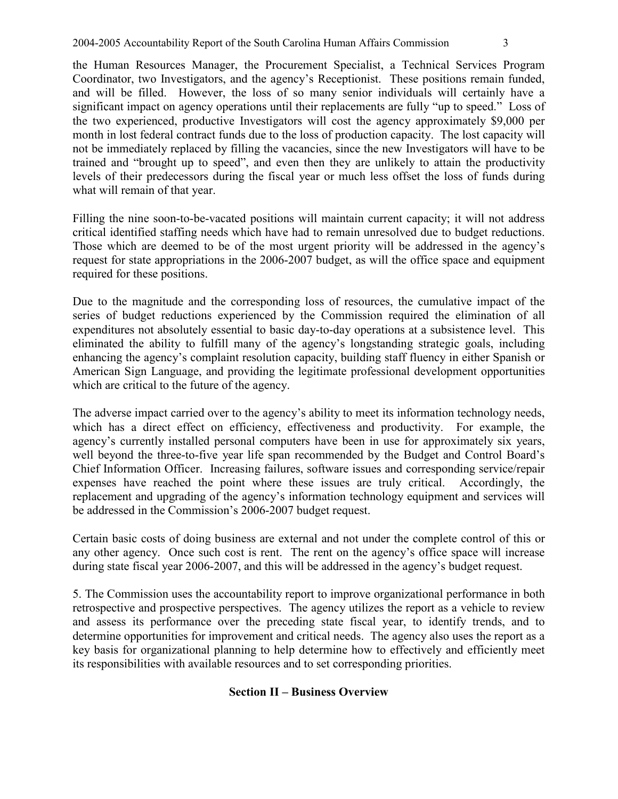the Human Resources Manager, the Procurement Specialist, a Technical Services Program Coordinator, two Investigators, and the agency's Receptionist. These positions remain funded, and will be filled. However, the loss of so many senior individuals will certainly have a significant impact on agency operations until their replacements are fully "up to speed." Loss of the two experienced, productive Investigators will cost the agency approximately \$9,000 per month in lost federal contract funds due to the loss of production capacity. The lost capacity will not be immediately replaced by filling the vacancies, since the new Investigators will have to be trained and "brought up to speed", and even then they are unlikely to attain the productivity levels of their predecessors during the fiscal year or much less offset the loss of funds during what will remain of that year.

Filling the nine soon-to-be-vacated positions will maintain current capacity; it will not address critical identified staffing needs which have had to remain unresolved due to budget reductions. Those which are deemed to be of the most urgent priority will be addressed in the agency's request for state appropriations in the 2006-2007 budget, as will the office space and equipment required for these positions.

Due to the magnitude and the corresponding loss of resources, the cumulative impact of the series of budget reductions experienced by the Commission required the elimination of all expenditures not absolutely essential to basic day-to-day operations at a subsistence level. This eliminated the ability to fulfill many of the agency's longstanding strategic goals, including enhancing the agency's complaint resolution capacity, building staff fluency in either Spanish or American Sign Language, and providing the legitimate professional development opportunities which are critical to the future of the agency.

The adverse impact carried over to the agency's ability to meet its information technology needs, which has a direct effect on efficiency, effectiveness and productivity. For example, the agency's currently installed personal computers have been in use for approximately six years, well beyond the three-to-five year life span recommended by the Budget and Control Board's Chief Information Officer. Increasing failures, software issues and corresponding service/repair expenses have reached the point where these issues are truly critical. Accordingly, the replacement and upgrading of the agency's information technology equipment and services will be addressed in the Commission's 2006-2007 budget request.

Certain basic costs of doing business are external and not under the complete control of this or any other agency. Once such cost is rent. The rent on the agency's office space will increase during state fiscal year 2006-2007, and this will be addressed in the agency's budget request.

5. The Commission uses the accountability report to improve organizational performance in both retrospective and prospective perspectives. The agency utilizes the report as a vehicle to review and assess its performance over the preceding state fiscal year, to identify trends, and to determine opportunities for improvement and critical needs. The agency also uses the report as a key basis for organizational planning to help determine how to effectively and efficiently meet its responsibilities with available resources and to set corresponding priorities.

## **Section II – Business Overview**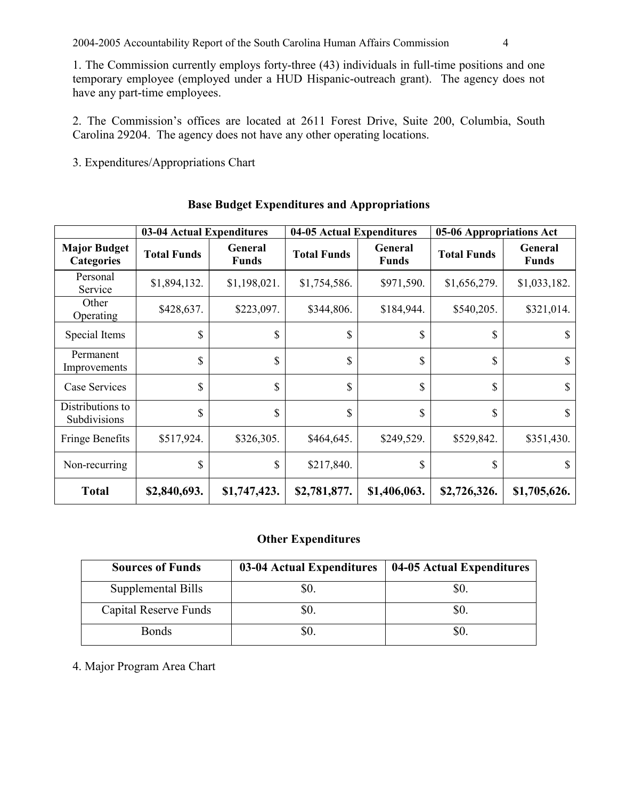1. The Commission currently employs forty-three (43) individuals in full-time positions and one temporary employee (employed under a HUD Hispanic-outreach grant). The agency does not have any part-time employees.

2. The Commission's offices are located at 2611 Forest Drive, Suite 200, Columbia, South Carolina 29204. The agency does not have any other operating locations.

3. Expenditures/Appropriations Chart

|                                          | 03-04 Actual Expenditures |                         | 04-05 Actual Expenditures |                                | 05-06 Appropriations Act |                                |  |
|------------------------------------------|---------------------------|-------------------------|---------------------------|--------------------------------|--------------------------|--------------------------------|--|
| <b>Major Budget</b><br><b>Categories</b> | <b>Total Funds</b>        | General<br><b>Funds</b> | <b>Total Funds</b>        | <b>General</b><br><b>Funds</b> | <b>Total Funds</b>       | <b>General</b><br><b>Funds</b> |  |
| Personal<br>Service                      | \$1,894,132.              | \$1,198,021.            | \$1,754,586.              | \$971,590.                     | \$1,656,279.             | \$1,033,182.                   |  |
| Other<br>Operating                       | \$428,637.                | \$223,097.              | \$344,806.                | \$184,944.                     | \$540,205.               | \$321,014.                     |  |
| Special Items                            | \$                        | \$                      | \$                        | \$                             | \$                       | \$                             |  |
| Permanent<br>Improvements                | \$                        | \$                      | \$                        | \$                             | \$                       | \$                             |  |
| Case Services                            | \$                        | \$                      | \$                        | $\mathbf S$                    | \$                       | \$                             |  |
| Distributions to<br>Subdivisions         | \$                        | \$                      | \$                        | \$                             | \$                       | \$                             |  |
| <b>Fringe Benefits</b>                   | \$517,924.                | \$326,305.              | \$464,645.                | \$249,529.                     | \$529,842.               | \$351,430.                     |  |
| Non-recurring                            | \$                        | \$                      | \$217,840.                | \$                             | \$                       | \$                             |  |
| <b>Total</b>                             | \$2,840,693.              | \$1,747,423.            | \$2,781,877.              | \$1,406,063.                   | \$2,726,326.             | \$1,705,626.                   |  |

## **Base Budget Expenditures and Appropriations**

## **Other Expenditures**

| <b>Sources of Funds</b> | 03-04 Actual Expenditures | 04-05 Actual Expenditures |
|-------------------------|---------------------------|---------------------------|
| Supplemental Bills      |                           |                           |
| Capital Reserve Funds   |                           | DU.                       |
| <b>Bonds</b>            |                           | JU.                       |

# 4. Major Program Area Chart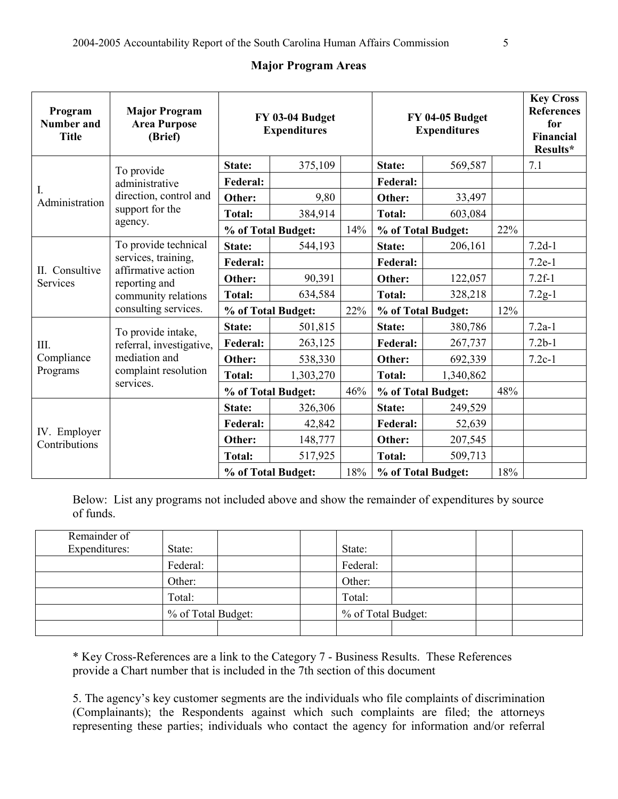## **Major Program Areas**

| Program<br><b>Number and</b><br><b>Title</b> | <b>Major Program</b><br><b>Area Purpose</b><br>(Brief)                                                                            | FY 03-04 Budget<br><b>Expenditures</b> |           |     | FY 04-05 Budget<br><b>Expenditures</b> |           |        | <b>Key Cross</b><br><b>References</b><br>for<br>Financial<br>Results* |
|----------------------------------------------|-----------------------------------------------------------------------------------------------------------------------------------|----------------------------------------|-----------|-----|----------------------------------------|-----------|--------|-----------------------------------------------------------------------|
| I.<br>Administration                         | To provide<br>administrative<br>direction, control and<br>support for the<br>agency.                                              | State:                                 | 375,109   |     | State:                                 | 569,587   |        | 7.1                                                                   |
|                                              |                                                                                                                                   | Federal:                               |           |     | <b>Federal:</b>                        |           |        |                                                                       |
|                                              |                                                                                                                                   | Other:                                 | 9,80      |     | Other:                                 | 33,497    |        |                                                                       |
|                                              |                                                                                                                                   | <b>Total:</b>                          | 384,914   |     | <b>Total:</b>                          | 603,084   |        |                                                                       |
|                                              |                                                                                                                                   | % of Total Budget:                     |           | 14% | % of Total Budget:                     |           | 22%    |                                                                       |
|                                              | To provide technical<br>services, training,<br>affirmative action<br>reporting and<br>community relations<br>consulting services. | State:                                 | 544,193   |     | State:                                 | 206,161   |        | $7.2d-1$                                                              |
| II. Consultive<br>Services<br>III.           |                                                                                                                                   | <b>Federal:</b>                        |           |     | <b>Federal:</b>                        |           |        | $7.2e-1$                                                              |
|                                              |                                                                                                                                   | Other:                                 | 90,391    |     | Other:                                 | 122,057   |        | $7.2f-1$                                                              |
|                                              |                                                                                                                                   | <b>Total:</b>                          | 634,584   |     | <b>Total:</b>                          | 328,218   |        | $7.2g-1$                                                              |
|                                              |                                                                                                                                   | % of Total Budget:                     |           | 22% | % of Total Budget:                     |           | 12%    |                                                                       |
| Compliance<br>Programs                       | To provide intake,<br>referral, investigative,<br>mediation and<br>complaint resolution<br>services.                              | State:                                 | 501,815   |     | State:                                 | 380,786   |        | $7.2a-1$                                                              |
|                                              |                                                                                                                                   | <b>Federal:</b>                        | 263,125   |     | <b>Federal:</b>                        | 267,737   |        | $7.2b-1$                                                              |
|                                              |                                                                                                                                   | Other:                                 | 538,330   |     | Other:                                 | 692,339   |        | $7.2c-1$                                                              |
|                                              |                                                                                                                                   | <b>Total:</b>                          | 1,303,270 |     | <b>Total:</b>                          | 1,340,862 |        |                                                                       |
|                                              |                                                                                                                                   | % of Total Budget:                     |           | 46% | % of Total Budget:                     |           | 48%    |                                                                       |
|                                              |                                                                                                                                   | State:                                 | 326,306   |     | State:                                 | 249,529   |        |                                                                       |
| IV. Employer<br>Contributions                |                                                                                                                                   | <b>Federal:</b>                        | 42,842    |     | <b>Federal:</b>                        | 52,639    |        |                                                                       |
|                                              |                                                                                                                                   | Other:                                 | 148,777   |     | Other:                                 | 207,545   |        |                                                                       |
|                                              |                                                                                                                                   | <b>Total:</b>                          | 517,925   |     | <b>Total:</b>                          | 509,713   |        |                                                                       |
|                                              |                                                                                                                                   | % of Total Budget:                     |           | 18% | % of Total Budget:                     |           | $18\%$ |                                                                       |

Below: List any programs not included above and show the remainder of expenditures by source of funds.

| Remainder of<br>Expenditures: | State:             |  | State:             |  |  |
|-------------------------------|--------------------|--|--------------------|--|--|
|                               | Federal:           |  | Federal:           |  |  |
|                               | Other:             |  | Other:             |  |  |
|                               | Total:             |  | Total:             |  |  |
|                               | % of Total Budget: |  | % of Total Budget: |  |  |
|                               |                    |  |                    |  |  |

\* Key Cross-References are a link to the Category 7 - Business Results. These References provide a Chart number that is included in the 7th section of this document

5. The agency's key customer segments are the individuals who file complaints of discrimination (Complainants); the Respondents against which such complaints are filed; the attorneys representing these parties; individuals who contact the agency for information and/or referral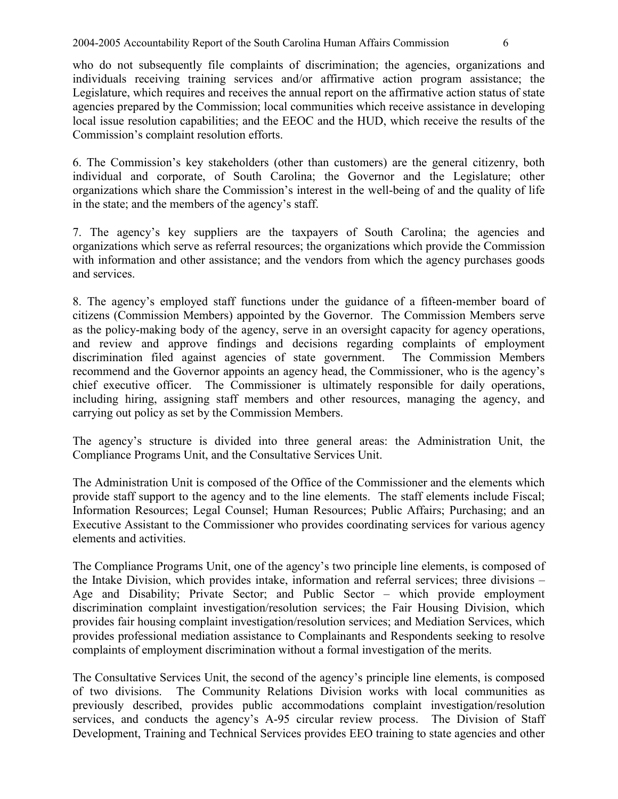who do not subsequently file complaints of discrimination; the agencies, organizations and individuals receiving training services and/or affirmative action program assistance; the Legislature, which requires and receives the annual report on the affirmative action status of state agencies prepared by the Commission; local communities which receive assistance in developing local issue resolution capabilities; and the EEOC and the HUD, which receive the results of the Commission's complaint resolution efforts.

6. The Commission's key stakeholders (other than customers) are the general citizenry, both individual and corporate, of South Carolina; the Governor and the Legislature; other organizations which share the Commission's interest in the well-being of and the quality of life in the state; and the members of the agency's staff.

7. The agency's key suppliers are the taxpayers of South Carolina; the agencies and organizations which serve as referral resources; the organizations which provide the Commission with information and other assistance; and the vendors from which the agency purchases goods and services.

8. The agency's employed staff functions under the guidance of a fifteen-member board of citizens (Commission Members) appointed by the Governor. The Commission Members serve as the policy-making body of the agency, serve in an oversight capacity for agency operations, and review and approve findings and decisions regarding complaints of employment discrimination filed against agencies of state government. The Commission Members recommend and the Governor appoints an agency head, the Commissioner, who is the agency's chief executive officer. The Commissioner is ultimately responsible for daily operations, including hiring, assigning staff members and other resources, managing the agency, and carrying out policy as set by the Commission Members.

The agency's structure is divided into three general areas: the Administration Unit, the Compliance Programs Unit, and the Consultative Services Unit.

The Administration Unit is composed of the Office of the Commissioner and the elements which provide staff support to the agency and to the line elements. The staff elements include Fiscal; Information Resources; Legal Counsel; Human Resources; Public Affairs; Purchasing; and an Executive Assistant to the Commissioner who provides coordinating services for various agency elements and activities.

The Compliance Programs Unit, one of the agency's two principle line elements, is composed of the Intake Division, which provides intake, information and referral services; three divisions – Age and Disability; Private Sector; and Public Sector – which provide employment discrimination complaint investigation/resolution services; the Fair Housing Division, which provides fair housing complaint investigation/resolution services; and Mediation Services, which provides professional mediation assistance to Complainants and Respondents seeking to resolve complaints of employment discrimination without a formal investigation of the merits.

The Consultative Services Unit, the second of the agency's principle line elements, is composed of two divisions. The Community Relations Division works with local communities as previously described, provides public accommodations complaint investigation/resolution services, and conducts the agency's A-95 circular review process. The Division of Staff Development, Training and Technical Services provides EEO training to state agencies and other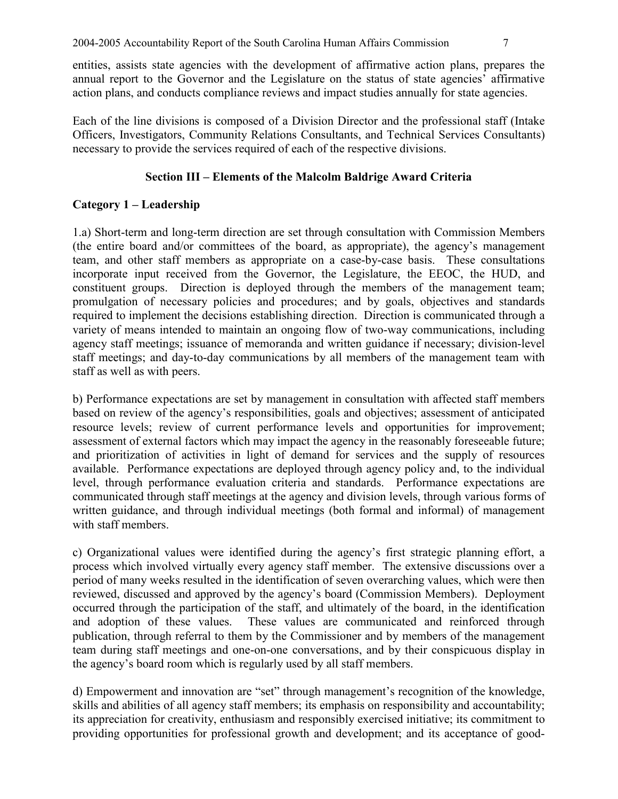entities, assists state agencies with the development of affirmative action plans, prepares the annual report to the Governor and the Legislature on the status of state agencies' affirmative action plans, and conducts compliance reviews and impact studies annually for state agencies.

Each of the line divisions is composed of a Division Director and the professional staff (Intake Officers, Investigators, Community Relations Consultants, and Technical Services Consultants) necessary to provide the services required of each of the respective divisions.

## **Section III – Elements of the Malcolm Baldrige Award Criteria**

# **Category 1 – Leadership**

1.a) Short-term and long-term direction are set through consultation with Commission Members (the entire board and/or committees of the board, as appropriate), the agency's management team, and other staff members as appropriate on a case-by-case basis. These consultations incorporate input received from the Governor, the Legislature, the EEOC, the HUD, and constituent groups. Direction is deployed through the members of the management team; promulgation of necessary policies and procedures; and by goals, objectives and standards required to implement the decisions establishing direction. Direction is communicated through a variety of means intended to maintain an ongoing flow of two-way communications, including agency staff meetings; issuance of memoranda and written guidance if necessary; division-level staff meetings; and day-to-day communications by all members of the management team with staff as well as with peers.

b) Performance expectations are set by management in consultation with affected staff members based on review of the agency's responsibilities, goals and objectives; assessment of anticipated resource levels; review of current performance levels and opportunities for improvement; assessment of external factors which may impact the agency in the reasonably foreseeable future; and prioritization of activities in light of demand for services and the supply of resources available. Performance expectations are deployed through agency policy and, to the individual level, through performance evaluation criteria and standards. Performance expectations are communicated through staff meetings at the agency and division levels, through various forms of written guidance, and through individual meetings (both formal and informal) of management with staff members.

c) Organizational values were identified during the agency's first strategic planning effort, a process which involved virtually every agency staff member. The extensive discussions over a period of many weeks resulted in the identification of seven overarching values, which were then reviewed, discussed and approved by the agency's board (Commission Members). Deployment occurred through the participation of the staff, and ultimately of the board, in the identification and adoption of these values. These values are communicated and reinforced through publication, through referral to them by the Commissioner and by members of the management team during staff meetings and one-on-one conversations, and by their conspicuous display in the agency's board room which is regularly used by all staff members.

d) Empowerment and innovation are "set" through management's recognition of the knowledge, skills and abilities of all agency staff members; its emphasis on responsibility and accountability; its appreciation for creativity, enthusiasm and responsibly exercised initiative; its commitment to providing opportunities for professional growth and development; and its acceptance of good-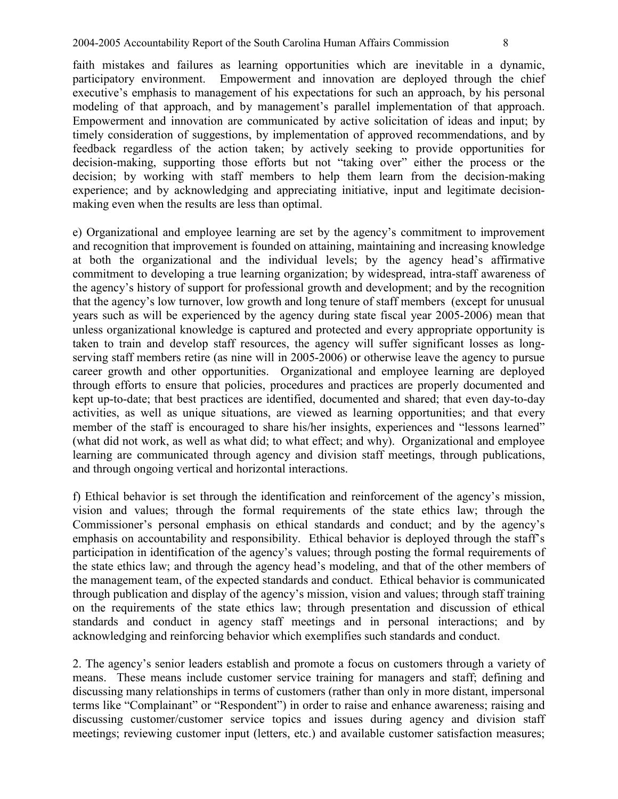faith mistakes and failures as learning opportunities which are inevitable in a dynamic, participatory environment. Empowerment and innovation are deployed through the chief executive's emphasis to management of his expectations for such an approach, by his personal modeling of that approach, and by management's parallel implementation of that approach. Empowerment and innovation are communicated by active solicitation of ideas and input; by timely consideration of suggestions, by implementation of approved recommendations, and by feedback regardless of the action taken; by actively seeking to provide opportunities for decision-making, supporting those efforts but not "taking over" either the process or the decision; by working with staff members to help them learn from the decision-making experience; and by acknowledging and appreciating initiative, input and legitimate decisionmaking even when the results are less than optimal.

e) Organizational and employee learning are set by the agency's commitment to improvement and recognition that improvement is founded on attaining, maintaining and increasing knowledge at both the organizational and the individual levels; by the agency head's affirmative commitment to developing a true learning organization; by widespread, intra-staff awareness of the agency's history of support for professional growth and development; and by the recognition that the agency's low turnover, low growth and long tenure of staff members (except for unusual years such as will be experienced by the agency during state fiscal year 2005-2006) mean that unless organizational knowledge is captured and protected and every appropriate opportunity is taken to train and develop staff resources, the agency will suffer significant losses as longserving staff members retire (as nine will in 2005-2006) or otherwise leave the agency to pursue career growth and other opportunities. Organizational and employee learning are deployed through efforts to ensure that policies, procedures and practices are properly documented and kept up-to-date; that best practices are identified, documented and shared; that even day-to-day activities, as well as unique situations, are viewed as learning opportunities; and that every member of the staff is encouraged to share his/her insights, experiences and "lessons learned" (what did not work, as well as what did; to what effect; and why). Organizational and employee learning are communicated through agency and division staff meetings, through publications, and through ongoing vertical and horizontal interactions.

f) Ethical behavior is set through the identification and reinforcement of the agency's mission, vision and values; through the formal requirements of the state ethics law; through the Commissioner's personal emphasis on ethical standards and conduct; and by the agency's emphasis on accountability and responsibility. Ethical behavior is deployed through the staff's participation in identification of the agency's values; through posting the formal requirements of the state ethics law; and through the agency head's modeling, and that of the other members of the management team, of the expected standards and conduct. Ethical behavior is communicated through publication and display of the agency's mission, vision and values; through staff training on the requirements of the state ethics law; through presentation and discussion of ethical standards and conduct in agency staff meetings and in personal interactions; and by acknowledging and reinforcing behavior which exemplifies such standards and conduct.

2. The agency's senior leaders establish and promote a focus on customers through a variety of means. These means include customer service training for managers and staff; defining and discussing many relationships in terms of customers (rather than only in more distant, impersonal terms like "Complainant" or "Respondent") in order to raise and enhance awareness; raising and discussing customer/customer service topics and issues during agency and division staff meetings; reviewing customer input (letters, etc.) and available customer satisfaction measures;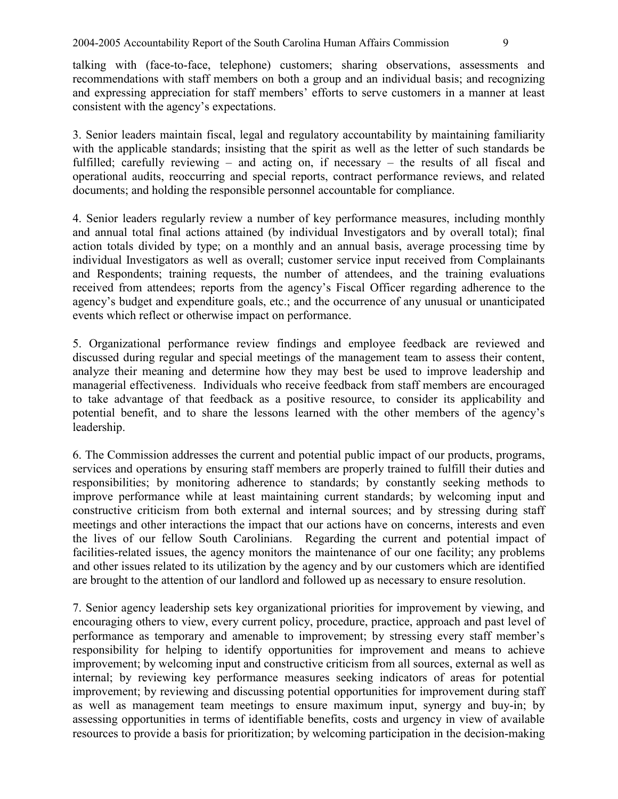talking with (face-to-face, telephone) customers; sharing observations, assessments and recommendations with staff members on both a group and an individual basis; and recognizing and expressing appreciation for staff members' efforts to serve customers in a manner at least consistent with the agency's expectations.

3. Senior leaders maintain fiscal, legal and regulatory accountability by maintaining familiarity with the applicable standards; insisting that the spirit as well as the letter of such standards be fulfilled; carefully reviewing – and acting on, if necessary – the results of all fiscal and operational audits, reoccurring and special reports, contract performance reviews, and related documents; and holding the responsible personnel accountable for compliance.

4. Senior leaders regularly review a number of key performance measures, including monthly and annual total final actions attained (by individual Investigators and by overall total); final action totals divided by type; on a monthly and an annual basis, average processing time by individual Investigators as well as overall; customer service input received from Complainants and Respondents; training requests, the number of attendees, and the training evaluations received from attendees; reports from the agency's Fiscal Officer regarding adherence to the agency's budget and expenditure goals, etc.; and the occurrence of any unusual or unanticipated events which reflect or otherwise impact on performance.

5. Organizational performance review findings and employee feedback are reviewed and discussed during regular and special meetings of the management team to assess their content, analyze their meaning and determine how they may best be used to improve leadership and managerial effectiveness. Individuals who receive feedback from staff members are encouraged to take advantage of that feedback as a positive resource, to consider its applicability and potential benefit, and to share the lessons learned with the other members of the agency's leadership.

6. The Commission addresses the current and potential public impact of our products, programs, services and operations by ensuring staff members are properly trained to fulfill their duties and responsibilities; by monitoring adherence to standards; by constantly seeking methods to improve performance while at least maintaining current standards; by welcoming input and constructive criticism from both external and internal sources; and by stressing during staff meetings and other interactions the impact that our actions have on concerns, interests and even the lives of our fellow South Carolinians. Regarding the current and potential impact of facilities-related issues, the agency monitors the maintenance of our one facility; any problems and other issues related to its utilization by the agency and by our customers which are identified are brought to the attention of our landlord and followed up as necessary to ensure resolution.

7. Senior agency leadership sets key organizational priorities for improvement by viewing, and encouraging others to view, every current policy, procedure, practice, approach and past level of performance as temporary and amenable to improvement; by stressing every staff member's responsibility for helping to identify opportunities for improvement and means to achieve improvement; by welcoming input and constructive criticism from all sources, external as well as internal; by reviewing key performance measures seeking indicators of areas for potential improvement; by reviewing and discussing potential opportunities for improvement during staff as well as management team meetings to ensure maximum input, synergy and buy-in; by assessing opportunities in terms of identifiable benefits, costs and urgency in view of available resources to provide a basis for prioritization; by welcoming participation in the decision-making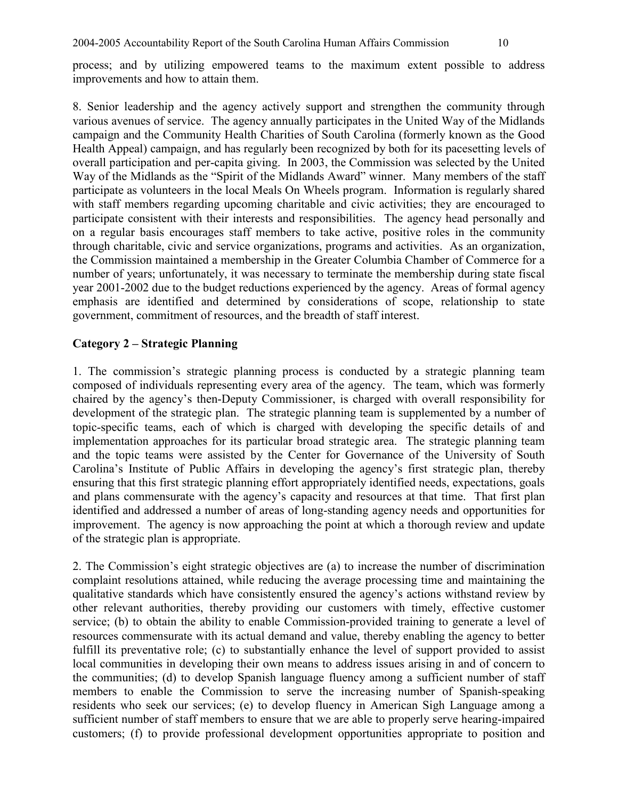process; and by utilizing empowered teams to the maximum extent possible to address improvements and how to attain them.

8. Senior leadership and the agency actively support and strengthen the community through various avenues of service. The agency annually participates in the United Way of the Midlands campaign and the Community Health Charities of South Carolina (formerly known as the Good Health Appeal) campaign, and has regularly been recognized by both for its pacesetting levels of overall participation and per-capita giving. In 2003, the Commission was selected by the United Way of the Midlands as the "Spirit of the Midlands Award" winner. Many members of the staff participate as volunteers in the local Meals On Wheels program. Information is regularly shared with staff members regarding upcoming charitable and civic activities; they are encouraged to participate consistent with their interests and responsibilities. The agency head personally and on a regular basis encourages staff members to take active, positive roles in the community through charitable, civic and service organizations, programs and activities. As an organization, the Commission maintained a membership in the Greater Columbia Chamber of Commerce for a number of years; unfortunately, it was necessary to terminate the membership during state fiscal year 2001-2002 due to the budget reductions experienced by the agency. Areas of formal agency emphasis are identified and determined by considerations of scope, relationship to state government, commitment of resources, and the breadth of staff interest.

### **Category 2 – Strategic Planning**

1. The commission's strategic planning process is conducted by a strategic planning team composed of individuals representing every area of the agency. The team, which was formerly chaired by the agency's then-Deputy Commissioner, is charged with overall responsibility for development of the strategic plan. The strategic planning team is supplemented by a number of topic-specific teams, each of which is charged with developing the specific details of and implementation approaches for its particular broad strategic area. The strategic planning team and the topic teams were assisted by the Center for Governance of the University of South Carolina's Institute of Public Affairs in developing the agency's first strategic plan, thereby ensuring that this first strategic planning effort appropriately identified needs, expectations, goals and plans commensurate with the agency's capacity and resources at that time. That first plan identified and addressed a number of areas of long-standing agency needs and opportunities for improvement. The agency is now approaching the point at which a thorough review and update of the strategic plan is appropriate.

2. The Commission's eight strategic objectives are (a) to increase the number of discrimination complaint resolutions attained, while reducing the average processing time and maintaining the qualitative standards which have consistently ensured the agency's actions withstand review by other relevant authorities, thereby providing our customers with timely, effective customer service; (b) to obtain the ability to enable Commission-provided training to generate a level of resources commensurate with its actual demand and value, thereby enabling the agency to better fulfill its preventative role; (c) to substantially enhance the level of support provided to assist local communities in developing their own means to address issues arising in and of concern to the communities; (d) to develop Spanish language fluency among a sufficient number of staff members to enable the Commission to serve the increasing number of Spanish-speaking residents who seek our services; (e) to develop fluency in American Sigh Language among a sufficient number of staff members to ensure that we are able to properly serve hearing-impaired customers; (f) to provide professional development opportunities appropriate to position and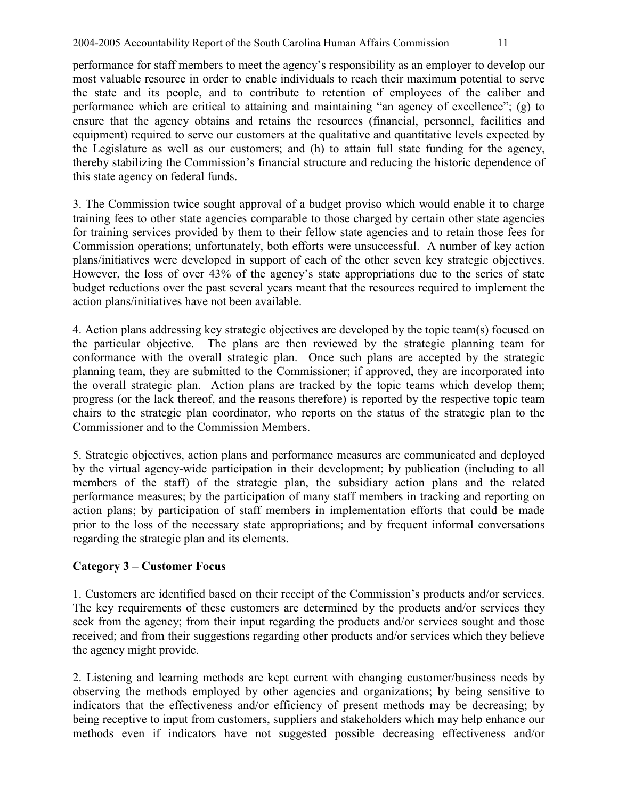performance for staff members to meet the agency's responsibility as an employer to develop our most valuable resource in order to enable individuals to reach their maximum potential to serve the state and its people, and to contribute to retention of employees of the caliber and performance which are critical to attaining and maintaining "an agency of excellence"; (g) to ensure that the agency obtains and retains the resources (financial, personnel, facilities and equipment) required to serve our customers at the qualitative and quantitative levels expected by the Legislature as well as our customers; and (h) to attain full state funding for the agency, thereby stabilizing the Commission's financial structure and reducing the historic dependence of this state agency on federal funds.

3. The Commission twice sought approval of a budget proviso which would enable it to charge training fees to other state agencies comparable to those charged by certain other state agencies for training services provided by them to their fellow state agencies and to retain those fees for Commission operations; unfortunately, both efforts were unsuccessful. A number of key action plans/initiatives were developed in support of each of the other seven key strategic objectives. However, the loss of over 43% of the agency's state appropriations due to the series of state budget reductions over the past several years meant that the resources required to implement the action plans/initiatives have not been available.

4. Action plans addressing key strategic objectives are developed by the topic team(s) focused on the particular objective. The plans are then reviewed by the strategic planning team for conformance with the overall strategic plan. Once such plans are accepted by the strategic planning team, they are submitted to the Commissioner; if approved, they are incorporated into the overall strategic plan. Action plans are tracked by the topic teams which develop them; progress (or the lack thereof, and the reasons therefore) is reported by the respective topic team chairs to the strategic plan coordinator, who reports on the status of the strategic plan to the Commissioner and to the Commission Members.

5. Strategic objectives, action plans and performance measures are communicated and deployed by the virtual agency-wide participation in their development; by publication (including to all members of the staff) of the strategic plan, the subsidiary action plans and the related performance measures; by the participation of many staff members in tracking and reporting on action plans; by participation of staff members in implementation efforts that could be made prior to the loss of the necessary state appropriations; and by frequent informal conversations regarding the strategic plan and its elements.

# **Category 3 – Customer Focus**

1. Customers are identified based on their receipt of the Commission's products and/or services. The key requirements of these customers are determined by the products and/or services they seek from the agency; from their input regarding the products and/or services sought and those received; and from their suggestions regarding other products and/or services which they believe the agency might provide.

2. Listening and learning methods are kept current with changing customer/business needs by observing the methods employed by other agencies and organizations; by being sensitive to indicators that the effectiveness and/or efficiency of present methods may be decreasing; by being receptive to input from customers, suppliers and stakeholders which may help enhance our methods even if indicators have not suggested possible decreasing effectiveness and/or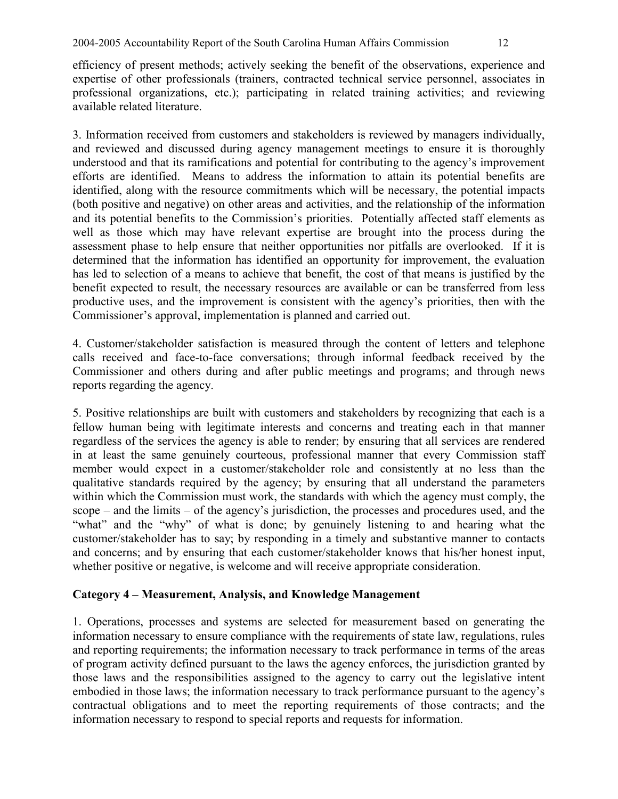efficiency of present methods; actively seeking the benefit of the observations, experience and expertise of other professionals (trainers, contracted technical service personnel, associates in professional organizations, etc.); participating in related training activities; and reviewing available related literature.

3. Information received from customers and stakeholders is reviewed by managers individually, and reviewed and discussed during agency management meetings to ensure it is thoroughly understood and that its ramifications and potential for contributing to the agency's improvement efforts are identified. Means to address the information to attain its potential benefits are identified, along with the resource commitments which will be necessary, the potential impacts (both positive and negative) on other areas and activities, and the relationship of the information and its potential benefits to the Commission's priorities. Potentially affected staff elements as well as those which may have relevant expertise are brought into the process during the assessment phase to help ensure that neither opportunities nor pitfalls are overlooked. If it is determined that the information has identified an opportunity for improvement, the evaluation has led to selection of a means to achieve that benefit, the cost of that means is justified by the benefit expected to result, the necessary resources are available or can be transferred from less productive uses, and the improvement is consistent with the agency's priorities, then with the Commissioner's approval, implementation is planned and carried out.

4. Customer/stakeholder satisfaction is measured through the content of letters and telephone calls received and face-to-face conversations; through informal feedback received by the Commissioner and others during and after public meetings and programs; and through news reports regarding the agency.

5. Positive relationships are built with customers and stakeholders by recognizing that each is a fellow human being with legitimate interests and concerns and treating each in that manner regardless of the services the agency is able to render; by ensuring that all services are rendered in at least the same genuinely courteous, professional manner that every Commission staff member would expect in a customer/stakeholder role and consistently at no less than the qualitative standards required by the agency; by ensuring that all understand the parameters within which the Commission must work, the standards with which the agency must comply, the scope – and the limits – of the agency's jurisdiction, the processes and procedures used, and the "what" and the "why" of what is done; by genuinely listening to and hearing what the customer/stakeholder has to say; by responding in a timely and substantive manner to contacts and concerns; and by ensuring that each customer/stakeholder knows that his/her honest input, whether positive or negative, is welcome and will receive appropriate consideration.

## **Category 4 – Measurement, Analysis, and Knowledge Management**

1. Operations, processes and systems are selected for measurement based on generating the information necessary to ensure compliance with the requirements of state law, regulations, rules and reporting requirements; the information necessary to track performance in terms of the areas of program activity defined pursuant to the laws the agency enforces, the jurisdiction granted by those laws and the responsibilities assigned to the agency to carry out the legislative intent embodied in those laws; the information necessary to track performance pursuant to the agency's contractual obligations and to meet the reporting requirements of those contracts; and the information necessary to respond to special reports and requests for information.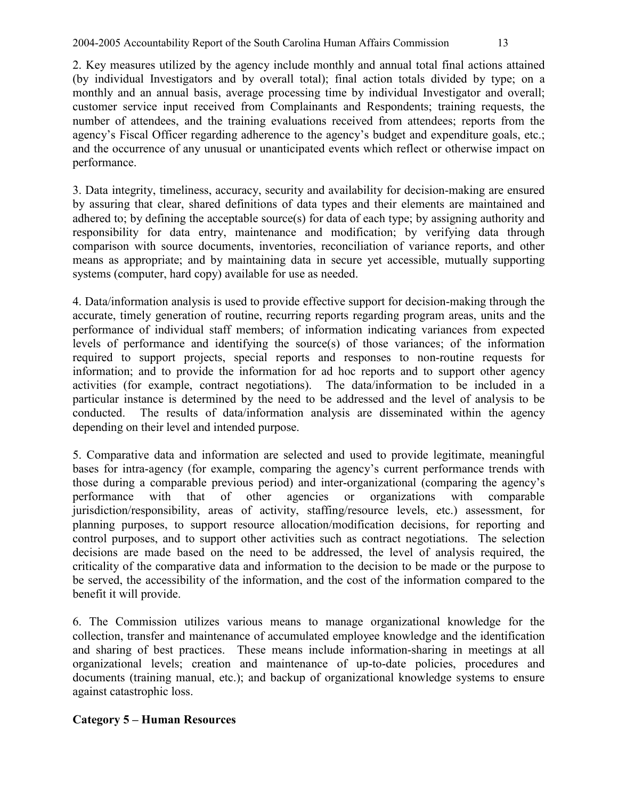2004-2005 Accountability Report of the South Carolina Human Affairs Commission 13

2. Key measures utilized by the agency include monthly and annual total final actions attained (by individual Investigators and by overall total); final action totals divided by type; on a monthly and an annual basis, average processing time by individual Investigator and overall; customer service input received from Complainants and Respondents; training requests, the number of attendees, and the training evaluations received from attendees; reports from the agency's Fiscal Officer regarding adherence to the agency's budget and expenditure goals, etc.; and the occurrence of any unusual or unanticipated events which reflect or otherwise impact on performance.

3. Data integrity, timeliness, accuracy, security and availability for decision-making are ensured by assuring that clear, shared definitions of data types and their elements are maintained and adhered to; by defining the acceptable source(s) for data of each type; by assigning authority and responsibility for data entry, maintenance and modification; by verifying data through comparison with source documents, inventories, reconciliation of variance reports, and other means as appropriate; and by maintaining data in secure yet accessible, mutually supporting systems (computer, hard copy) available for use as needed.

4. Data/information analysis is used to provide effective support for decision-making through the accurate, timely generation of routine, recurring reports regarding program areas, units and the performance of individual staff members; of information indicating variances from expected levels of performance and identifying the source(s) of those variances; of the information required to support projects, special reports and responses to non-routine requests for information; and to provide the information for ad hoc reports and to support other agency activities (for example, contract negotiations). The data/information to be included in a particular instance is determined by the need to be addressed and the level of analysis to be conducted. The results of data/information analysis are disseminated within the agency depending on their level and intended purpose.

5. Comparative data and information are selected and used to provide legitimate, meaningful bases for intra-agency (for example, comparing the agency's current performance trends with those during a comparable previous period) and inter-organizational (comparing the agency's performance with that of other agencies or organizations with comparable jurisdiction/responsibility, areas of activity, staffing/resource levels, etc.) assessment, for planning purposes, to support resource allocation/modification decisions, for reporting and control purposes, and to support other activities such as contract negotiations. The selection decisions are made based on the need to be addressed, the level of analysis required, the criticality of the comparative data and information to the decision to be made or the purpose to be served, the accessibility of the information, and the cost of the information compared to the benefit it will provide.

6. The Commission utilizes various means to manage organizational knowledge for the collection, transfer and maintenance of accumulated employee knowledge and the identification and sharing of best practices. These means include information-sharing in meetings at all organizational levels; creation and maintenance of up-to-date policies, procedures and documents (training manual, etc.); and backup of organizational knowledge systems to ensure against catastrophic loss.

# **Category 5 – Human Resources**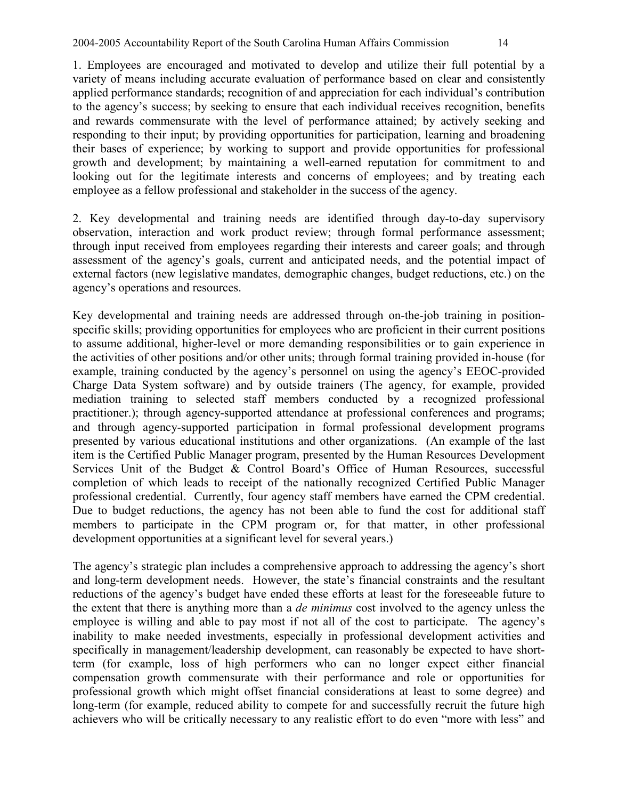1. Employees are encouraged and motivated to develop and utilize their full potential by a variety of means including accurate evaluation of performance based on clear and consistently applied performance standards; recognition of and appreciation for each individual's contribution to the agency's success; by seeking to ensure that each individual receives recognition, benefits and rewards commensurate with the level of performance attained; by actively seeking and responding to their input; by providing opportunities for participation, learning and broadening their bases of experience; by working to support and provide opportunities for professional growth and development; by maintaining a well-earned reputation for commitment to and looking out for the legitimate interests and concerns of employees; and by treating each employee as a fellow professional and stakeholder in the success of the agency.

2. Key developmental and training needs are identified through day-to-day supervisory observation, interaction and work product review; through formal performance assessment; through input received from employees regarding their interests and career goals; and through assessment of the agency's goals, current and anticipated needs, and the potential impact of external factors (new legislative mandates, demographic changes, budget reductions, etc.) on the agency's operations and resources.

Key developmental and training needs are addressed through on-the-job training in positionspecific skills; providing opportunities for employees who are proficient in their current positions to assume additional, higher-level or more demanding responsibilities or to gain experience in the activities of other positions and/or other units; through formal training provided in-house (for example, training conducted by the agency's personnel on using the agency's EEOC-provided Charge Data System software) and by outside trainers (The agency, for example, provided mediation training to selected staff members conducted by a recognized professional practitioner.); through agency-supported attendance at professional conferences and programs; and through agency-supported participation in formal professional development programs presented by various educational institutions and other organizations. (An example of the last item is the Certified Public Manager program, presented by the Human Resources Development Services Unit of the Budget & Control Board's Office of Human Resources, successful completion of which leads to receipt of the nationally recognized Certified Public Manager professional credential. Currently, four agency staff members have earned the CPM credential. Due to budget reductions, the agency has not been able to fund the cost for additional staff members to participate in the CPM program or, for that matter, in other professional development opportunities at a significant level for several years.)

The agency's strategic plan includes a comprehensive approach to addressing the agency's short and long-term development needs. However, the state's financial constraints and the resultant reductions of the agency's budget have ended these efforts at least for the foreseeable future to the extent that there is anything more than a *de minimus* cost involved to the agency unless the employee is willing and able to pay most if not all of the cost to participate. The agency's inability to make needed investments, especially in professional development activities and specifically in management/leadership development, can reasonably be expected to have shortterm (for example, loss of high performers who can no longer expect either financial compensation growth commensurate with their performance and role or opportunities for professional growth which might offset financial considerations at least to some degree) and long-term (for example, reduced ability to compete for and successfully recruit the future high achievers who will be critically necessary to any realistic effort to do even "more with less" and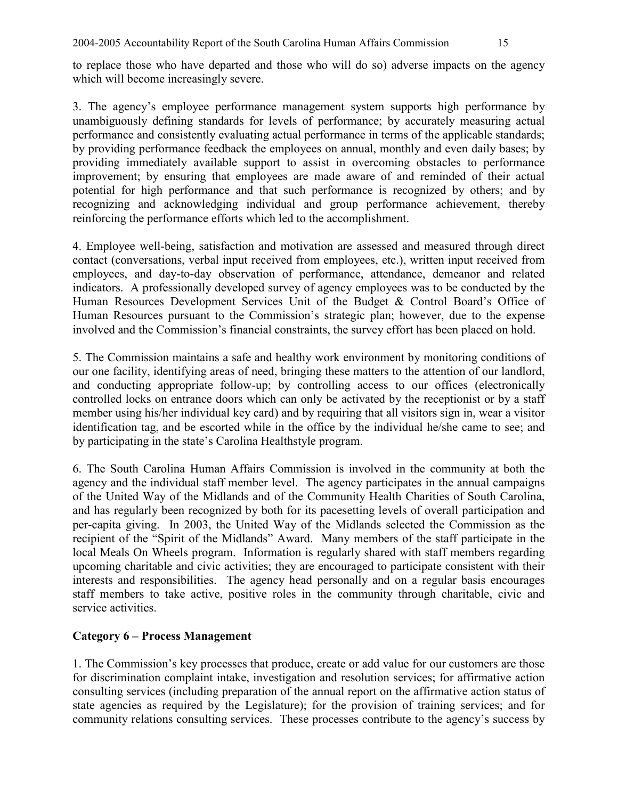to replace those who have departed and those who will do so) adverse impacts on the agency which will become increasingly severe.

3. The agency's employee performance management system supports high performance by unambiguously defining standards for levels of performance; by accurately measuring actual performance and consistently evaluating actual performance in terms of the applicable standards; by providing performance feedback the employees on annual, monthly and even daily bases; by providing immediately available support to assist in overcoming obstacles to performance improvement; by ensuring that employees are made aware of and reminded of their actual potential for high performance and that such performance is recognized by others; and by recognizing and acknowledging individual and group performance achievement, thereby reinforcing the performance efforts which led to the accomplishment.

4. Employee well-being, satisfaction and motivation are assessed and measured through direct contact (conversations, verbal input received from employees, etc.), written input received from employees, and day-to-day observation of performance, attendance, demeanor and related indicators. A professionally developed survey of agency employees was to be conducted by the Human Resources Development Services Unit of the Budget & Control Board's Office of Human Resources pursuant to the Commission's strategic plan; however, due to the expense involved and the Commission's financial constraints, the survey effort has been placed on hold.

5. The Commission maintains a safe and healthy work environment by monitoring conditions of our one facility, identifying areas of need, bringing these matters to the attention of our landlord, and conducting appropriate follow-up; by controlling access to our offices (electronically controlled locks on entrance doors which can only be activated by the receptionist or by a staff member using his/her individual key card) and by requiring that all visitors sign in, wear a visitor identification tag, and be escorted while in the office by the individual he/she came to see; and by participating in the state's Carolina Healthstyle program.

6. The South Carolina Human Affairs Commission is involved in the community at both the agency and the individual staff member level. The agency participates in the annual campaigns of the United Way of the Midlands and of the Community Health Charities of South Carolina, and has regularly been recognized by both for its pacesetting levels of overall participation and per-capita giving. In 2003, the United Way of the Midlands selected the Commission as the recipient of the "Spirit of the Midlands" Award. Many members of the staff participate in the local Meals On Wheels program. Information is regularly shared with staff members regarding upcoming charitable and civic activities; they are encouraged to participate consistent with their interests and responsibilities. The agency head personally and on a regular basis encourages staff members to take active, positive roles in the community through charitable, civic and service activities.

# **Category 6 – Process Management**

1. The Commission's key processes that produce, create or add value for our customers are those for discrimination complaint intake, investigation and resolution services; for affirmative action consulting services (including preparation of the annual report on the affirmative action status of state agencies as required by the Legislature); for the provision of training services; and for community relations consulting services. These processes contribute to the agency's success by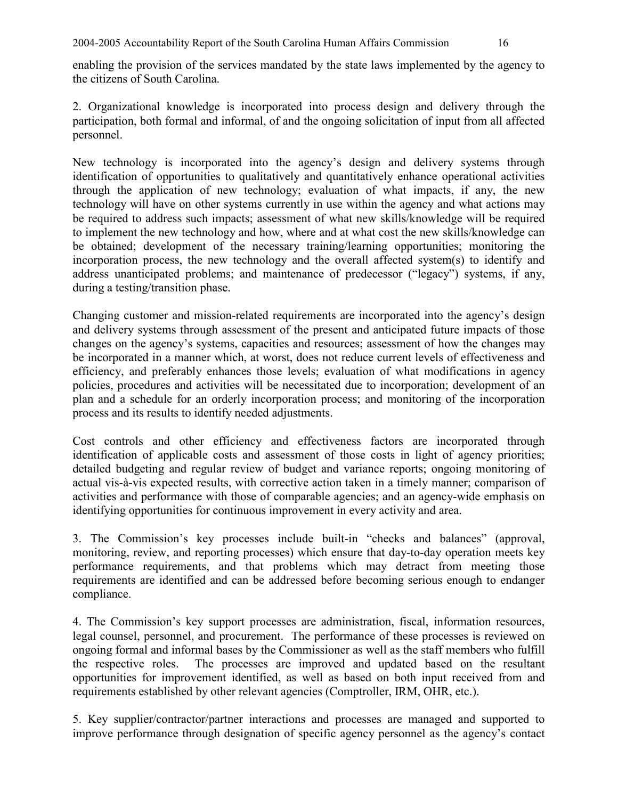enabling the provision of the services mandated by the state laws implemented by the agency to the citizens of South Carolina.

2. Organizational knowledge is incorporated into process design and delivery through the participation, both formal and informal, of and the ongoing solicitation of input from all affected personnel.

New technology is incorporated into the agency's design and delivery systems through identification of opportunities to qualitatively and quantitatively enhance operational activities through the application of new technology; evaluation of what impacts, if any, the new technology will have on other systems currently in use within the agency and what actions may be required to address such impacts; assessment of what new skills/knowledge will be required to implement the new technology and how, where and at what cost the new skills/knowledge can be obtained; development of the necessary training/learning opportunities; monitoring the incorporation process, the new technology and the overall affected system(s) to identify and address unanticipated problems; and maintenance of predecessor ("legacy") systems, if any, during a testing/transition phase.

Changing customer and mission-related requirements are incorporated into the agency's design and delivery systems through assessment of the present and anticipated future impacts of those changes on the agency's systems, capacities and resources; assessment of how the changes may be incorporated in a manner which, at worst, does not reduce current levels of effectiveness and efficiency, and preferably enhances those levels; evaluation of what modifications in agency policies, procedures and activities will be necessitated due to incorporation; development of an plan and a schedule for an orderly incorporation process; and monitoring of the incorporation process and its results to identify needed adjustments.

Cost controls and other efficiency and effectiveness factors are incorporated through identification of applicable costs and assessment of those costs in light of agency priorities; detailed budgeting and regular review of budget and variance reports; ongoing monitoring of actual vis-à-vis expected results, with corrective action taken in a timely manner; comparison of activities and performance with those of comparable agencies; and an agency-wide emphasis on identifying opportunities for continuous improvement in every activity and area.

3. The Commission's key processes include built-in "checks and balances" (approval, monitoring, review, and reporting processes) which ensure that day-to-day operation meets key performance requirements, and that problems which may detract from meeting those requirements are identified and can be addressed before becoming serious enough to endanger compliance.

4. The Commission's key support processes are administration, fiscal, information resources, legal counsel, personnel, and procurement. The performance of these processes is reviewed on ongoing formal and informal bases by the Commissioner as well as the staff members who fulfill<br>the respective roles. The processes are improved and updated based on the resultant The processes are improved and updated based on the resultant opportunities for improvement identified, as well as based on both input received from and requirements established by other relevant agencies (Comptroller, IRM, OHR, etc.).

5. Key supplier/contractor/partner interactions and processes are managed and supported to improve performance through designation of specific agency personnel as the agency's contact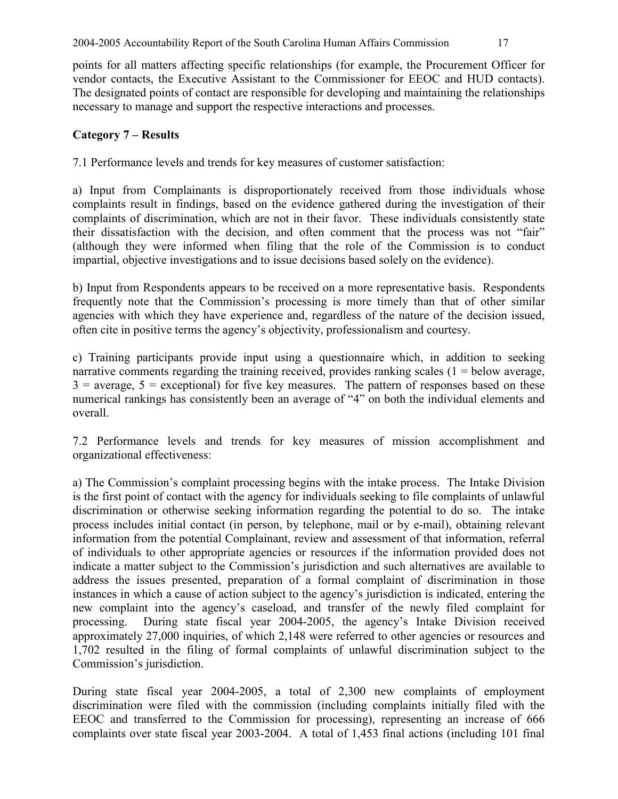points for all matters affecting specific relationships (for example, the Procurement Officer for vendor contacts, the Executive Assistant to the Commissioner for EEOC and HUD contacts). The designated points of contact are responsible for developing and maintaining the relationships necessary to manage and support the respective interactions and processes.

## **Category 7 – Results**

7.1 Performance levels and trends for key measures of customer satisfaction:

a) Input from Complainants is disproportionately received from those individuals whose complaints result in findings, based on the evidence gathered during the investigation of their complaints of discrimination, which are not in their favor. These individuals consistently state their dissatisfaction with the decision, and often comment that the process was not "fair" (although they were informed when filing that the role of the Commission is to conduct impartial, objective investigations and to issue decisions based solely on the evidence).

b) Input from Respondents appears to be received on a more representative basis. Respondents frequently note that the Commission's processing is more timely than that of other similar agencies with which they have experience and, regardless of the nature of the decision issued, often cite in positive terms the agency's objectivity, professionalism and courtesy.

c) Training participants provide input using a questionnaire which, in addition to seeking narrative comments regarding the training received, provides ranking scales  $(1 =$  below average,  $3 =$  average,  $5 =$  exceptional) for five key measures. The pattern of responses based on these numerical rankings has consistently been an average of "4" on both the individual elements and overall.

7.2 Performance levels and trends for key measures of mission accomplishment and organizational effectiveness:

a) The Commission's complaint processing begins with the intake process. The Intake Division is the first point of contact with the agency for individuals seeking to file complaints of unlawful discrimination or otherwise seeking information regarding the potential to do so. The intake process includes initial contact (in person, by telephone, mail or by e-mail), obtaining relevant information from the potential Complainant, review and assessment of that information, referral of individuals to other appropriate agencies or resources if the information provided does not indicate a matter subject to the Commission's jurisdiction and such alternatives are available to address the issues presented, preparation of a formal complaint of discrimination in those instances in which a cause of action subject to the agency's jurisdiction is indicated, entering the new complaint into the agency's caseload, and transfer of the newly filed complaint for processing. During state fiscal year 2004-2005, the agency's Intake Division received approximately 27,000 inquiries, of which 2,148 were referred to other agencies or resources and 1,702 resulted in the filing of formal complaints of unlawful discrimination subject to the Commission's jurisdiction.

During state fiscal year 2004-2005, a total of 2,300 new complaints of employment discrimination were filed with the commission (including complaints initially filed with the EEOC and transferred to the Commission for processing), representing an increase of 666 complaints over state fiscal year 2003-2004. A total of 1,453 final actions (including 101 final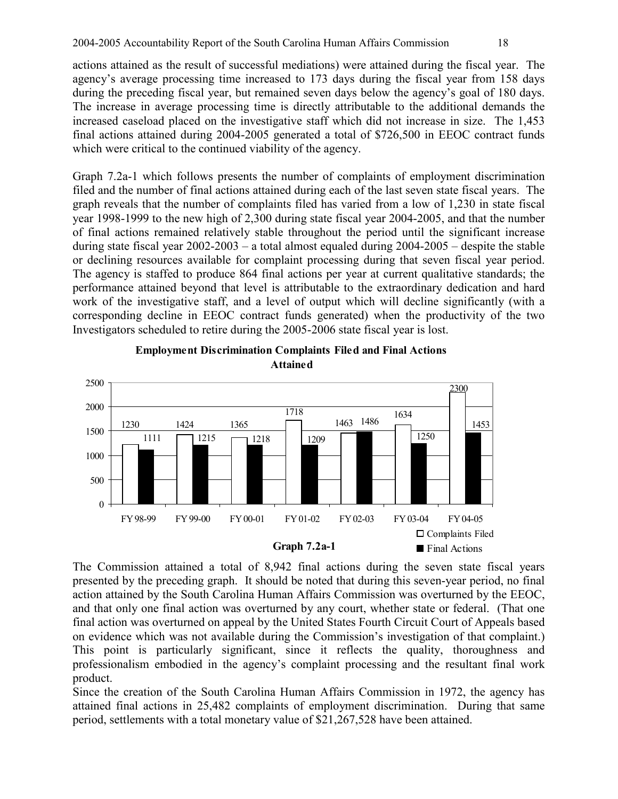actions attained as the result of successful mediations) were attained during the fiscal year. The agency's average processing time increased to 173 days during the fiscal year from 158 days during the preceding fiscal year, but remained seven days below the agency's goal of 180 days. The increase in average processing time is directly attributable to the additional demands the increased caseload placed on the investigative staff which did not increase in size. The 1,453 final actions attained during 2004-2005 generated a total of \$726,500 in EEOC contract funds which were critical to the continued viability of the agency.

Graph 7.2a-1 which follows presents the number of complaints of employment discrimination filed and the number of final actions attained during each of the last seven state fiscal years. The graph reveals that the number of complaints filed has varied from a low of 1,230 in state fiscal year 1998-1999 to the new high of 2,300 during state fiscal year 2004-2005, and that the number of final actions remained relatively stable throughout the period until the significant increase during state fiscal year 2002-2003 – a total almost equaled during 2004-2005 – despite the stable or declining resources available for complaint processing during that seven fiscal year period. The agency is staffed to produce 864 final actions per year at current qualitative standards; the performance attained beyond that level is attributable to the extraordinary dedication and hard work of the investigative staff, and a level of output which will decline significantly (with a corresponding decline in EEOC contract funds generated) when the productivity of the two Investigators scheduled to retire during the 2005-2006 state fiscal year is lost.





The Commission attained a total of 8,942 final actions during the seven state fiscal years presented by the preceding graph. It should be noted that during this seven-year period, no final action attained by the South Carolina Human Affairs Commission was overturned by the EEOC, and that only one final action was overturned by any court, whether state or federal. (That one final action was overturned on appeal by the United States Fourth Circuit Court of Appeals based on evidence which was not available during the Commission's investigation of that complaint.) This point is particularly significant, since it reflects the quality, thoroughness and professionalism embodied in the agency's complaint processing and the resultant final work product.

Since the creation of the South Carolina Human Affairs Commission in 1972, the agency has attained final actions in 25,482 complaints of employment discrimination. During that same period, settlements with a total monetary value of \$21,267,528 have been attained.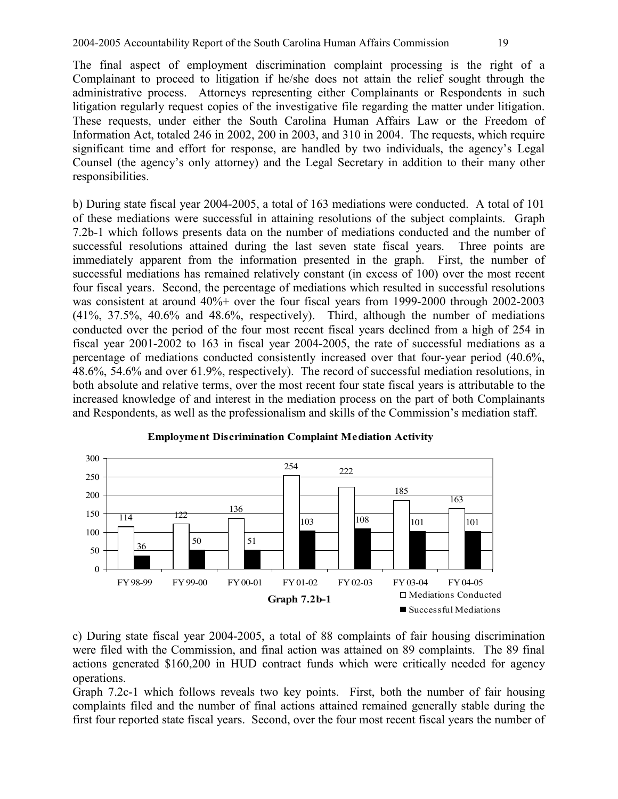The final aspect of employment discrimination complaint processing is the right of a Complainant to proceed to litigation if he/she does not attain the relief sought through the administrative process. Attorneys representing either Complainants or Respondents in such litigation regularly request copies of the investigative file regarding the matter under litigation. These requests, under either the South Carolina Human Affairs Law or the Freedom of Information Act, totaled 246 in 2002, 200 in 2003, and 310 in 2004. The requests, which require significant time and effort for response, are handled by two individuals, the agency's Legal Counsel (the agency's only attorney) and the Legal Secretary in addition to their many other responsibilities.

b) During state fiscal year 2004-2005, a total of 163 mediations were conducted. A total of 101 of these mediations were successful in attaining resolutions of the subject complaints. Graph 7.2b-1 which follows presents data on the number of mediations conducted and the number of successful resolutions attained during the last seven state fiscal years. Three points are immediately apparent from the information presented in the graph. First, the number of successful mediations has remained relatively constant (in excess of 100) over the most recent four fiscal years. Second, the percentage of mediations which resulted in successful resolutions was consistent at around 40%+ over the four fiscal years from 1999-2000 through 2002-2003 (41%, 37.5%, 40.6% and 48.6%, respectively). Third, although the number of mediations conducted over the period of the four most recent fiscal years declined from a high of 254 in fiscal year 2001-2002 to 163 in fiscal year 2004-2005, the rate of successful mediations as a percentage of mediations conducted consistently increased over that four-year period (40.6%, 48.6%, 54.6% and over 61.9%, respectively). The record of successful mediation resolutions, in both absolute and relative terms, over the most recent four state fiscal years is attributable to the increased knowledge of and interest in the mediation process on the part of both Complainants and Respondents, as well as the professionalism and skills of the Commission's mediation staff.



#### **Employment Discrimination Complaint Mediation Activity**

c) During state fiscal year 2004-2005, a total of 88 complaints of fair housing discrimination were filed with the Commission, and final action was attained on 89 complaints. The 89 final actions generated \$160,200 in HUD contract funds which were critically needed for agency operations.

Graph 7.2c-1 which follows reveals two key points. First, both the number of fair housing complaints filed and the number of final actions attained remained generally stable during the first four reported state fiscal years. Second, over the four most recent fiscal years the number of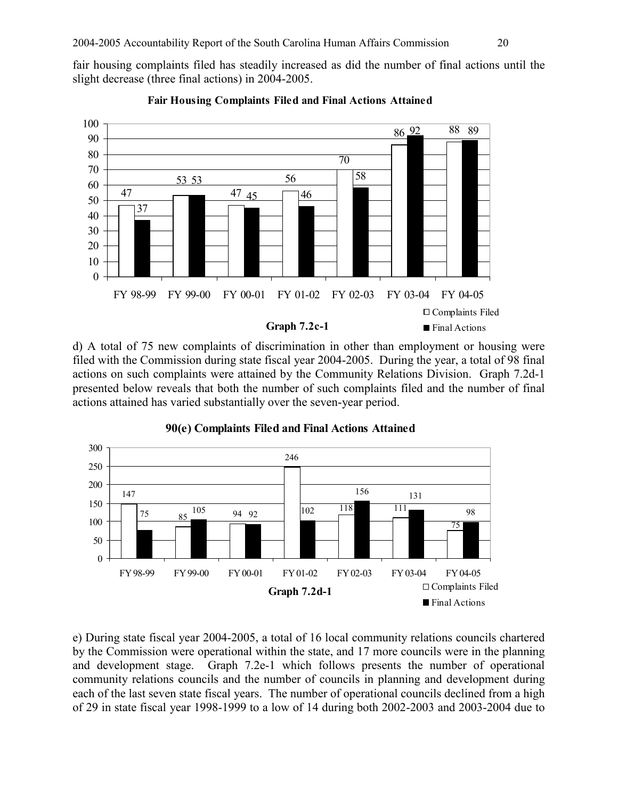fair housing complaints filed has steadily increased as did the number of final actions until the slight decrease (three final actions) in 2004-2005.



**Fair Housing Complaints Filed and Final Actions Attained**

d) A total of 75 new complaints of discrimination in other than employment or housing were filed with the Commission during state fiscal year 2004-2005. During the year, a total of 98 final actions on such complaints were attained by the Community Relations Division. Graph 7.2d-1 presented below reveals that both the number of such complaints filed and the number of final actions attained has varied substantially over the seven-year period.



**90(e) Complaints Filed and Final Actions Attained**

e) During state fiscal year 2004-2005, a total of 16 local community relations councils chartered by the Commission were operational within the state, and 17 more councils were in the planning and development stage. Graph 7.2e-1 which follows presents the number of operational community relations councils and the number of councils in planning and development during each of the last seven state fiscal years. The number of operational councils declined from a high of 29 in state fiscal year 1998-1999 to a low of 14 during both 2002-2003 and 2003-2004 due to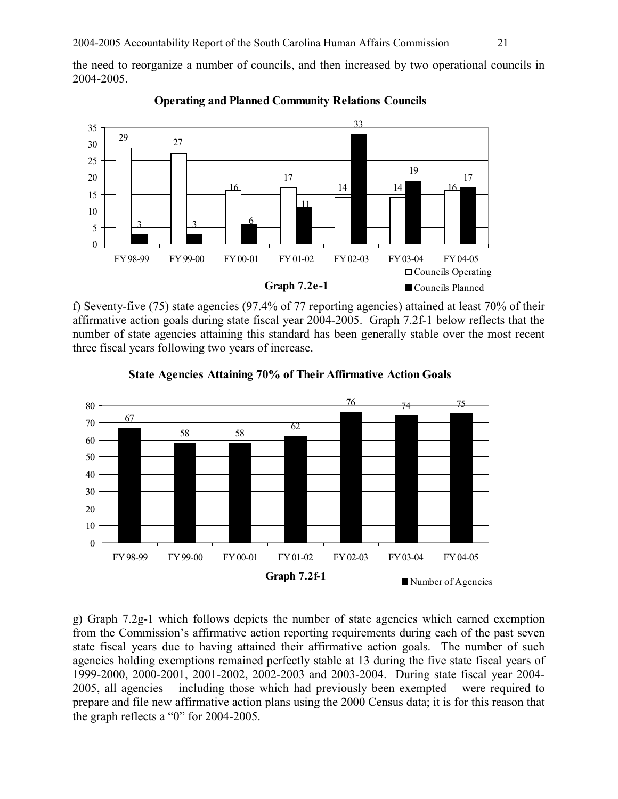the need to reorganize a number of councils, and then increased by two operational councils in 2004-2005.



#### **Operating and Planned Community Relations Councils**

f) Seventy-five (75) state agencies (97.4% of 77 reporting agencies) attained at least 70% of their affirmative action goals during state fiscal year 2004-2005. Graph 7.2f-1 below reflects that the number of state agencies attaining this standard has been generally stable over the most recent three fiscal years following two years of increase.



### **State Agencies Attaining 70% of Their Affirmative Action Goals**

g) Graph 7.2g-1 which follows depicts the number of state agencies which earned exemption from the Commission's affirmative action reporting requirements during each of the past seven state fiscal years due to having attained their affirmative action goals. The number of such agencies holding exemptions remained perfectly stable at 13 during the five state fiscal years of 1999-2000, 2000-2001, 2001-2002, 2002-2003 and 2003-2004. During state fiscal year 2004- 2005, all agencies – including those which had previously been exempted – were required to prepare and file new affirmative action plans using the 2000 Census data; it is for this reason that the graph reflects a "0" for 2004-2005.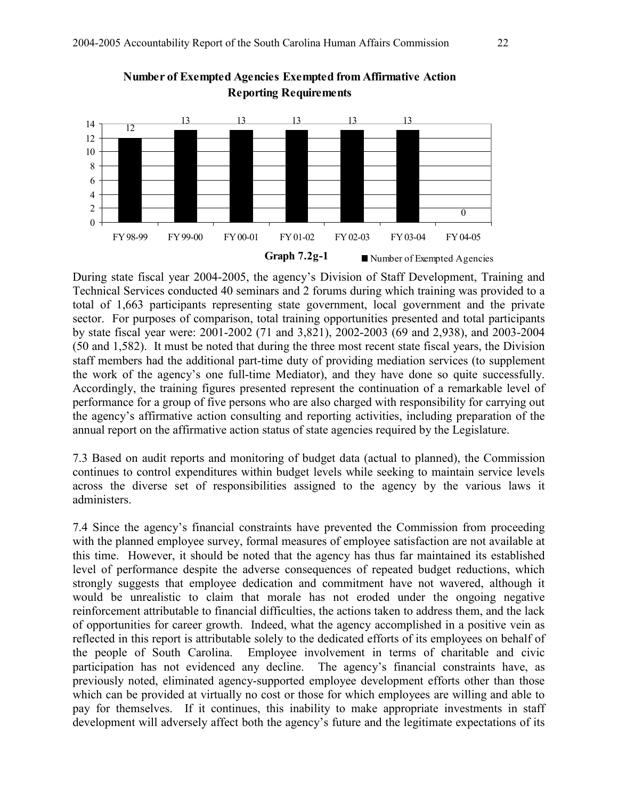



During state fiscal year 2004-2005, the agency's Division of Staff Development, Training and Technical Services conducted 40 seminars and 2 forums during which training was provided to a total of 1,663 participants representing state government, local government and the private sector. For purposes of comparison, total training opportunities presented and total participants by state fiscal year were: 2001-2002 (71 and 3,821), 2002-2003 (69 and 2,938), and 2003-2004 (50 and 1,582). It must be noted that during the three most recent state fiscal years, the Division staff members had the additional part-time duty of providing mediation services (to supplement the work of the agency's one full-time Mediator), and they have done so quite successfully. Accordingly, the training figures presented represent the continuation of a remarkable level of performance for a group of five persons who are also charged with responsibility for carrying out the agency's affirmative action consulting and reporting activities, including preparation of the annual report on the affirmative action status of state agencies required by the Legislature.

7.3 Based on audit reports and monitoring of budget data (actual to planned), the Commission continues to control expenditures within budget levels while seeking to maintain service levels across the diverse set of responsibilities assigned to the agency by the various laws it administers.

7.4 Since the agency's financial constraints have prevented the Commission from proceeding with the planned employee survey, formal measures of employee satisfaction are not available at this time. However, it should be noted that the agency has thus far maintained its established level of performance despite the adverse consequences of repeated budget reductions, which strongly suggests that employee dedication and commitment have not wavered, although it would be unrealistic to claim that morale has not eroded under the ongoing negative reinforcement attributable to financial difficulties, the actions taken to address them, and the lack of opportunities for career growth. Indeed, what the agency accomplished in a positive vein as reflected in this report is attributable solely to the dedicated efforts of its employees on behalf of the people of South Carolina. Employee involvement in terms of charitable and civic participation has not evidenced any decline. The agency's financial constraints have, as previously noted, eliminated agency-supported employee development efforts other than those which can be provided at virtually no cost or those for which employees are willing and able to pay for themselves. If it continues, this inability to make appropriate investments in staff development will adversely affect both the agency's future and the legitimate expectations of its